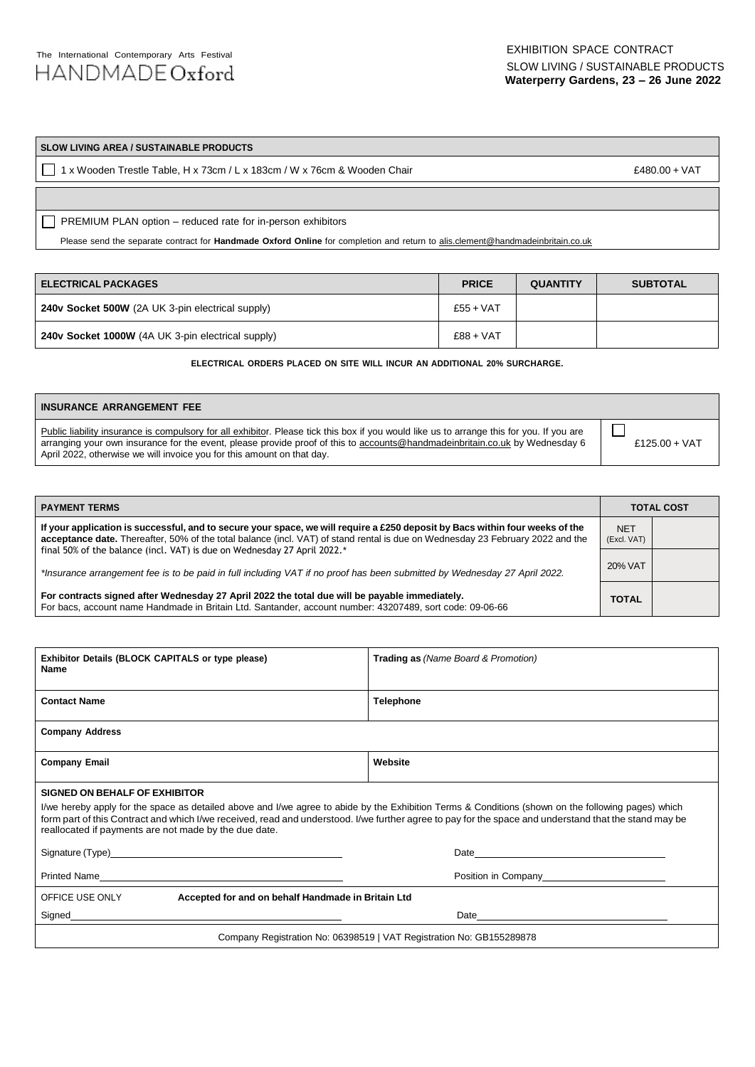# **SLOW LIVING AREA / SUSTAINABLE PRODUCTS**

1 x Wooden Trestle Table, H x 73cm / L x 183cm / W x 76cm & Wooden Chair £480.00 + VAT

PREMIUM PLAN option – reduced rate for in-person exhibitors **ADDITIONAL ONLINE PARTICIPATION 14-17 JULY 2022**

Please send the separate contract for **Handmade Oxford Online** for completion and return to alis.clement@handmadeinbritain.co.uk

| I ELECTRICAL PACKAGES                                    | <b>PRICE</b> | <b>QUANTITY</b> | <b>SUBTOTAL</b> |
|----------------------------------------------------------|--------------|-----------------|-----------------|
| 240v Socket 500W (2A UK 3-pin electrical supply)         | $£55+VAT$    |                 |                 |
| <b>240v Socket 1000W</b> (4A UK 3-pin electrical supply) | $£88 + VAT$  |                 |                 |

**ELECTRICAL ORDERS PLACED ON SITE WILL INCUR AN ADDITIONAL 20% SURCHARGE.**

|                                                                                                                                                                                                                        | I INSURANCE ARRANGEMENT FEE                                                                                                               |  |
|------------------------------------------------------------------------------------------------------------------------------------------------------------------------------------------------------------------------|-------------------------------------------------------------------------------------------------------------------------------------------|--|
| arranging your own insurance for the event, please provide proof of this to accounts@handmadeinbritain.co.uk by Wednesday 6<br>£125.00 + VAT<br>April 2022, otherwise we will invoice you for this amount on that day. | Public liability insurance is compulsory for all exhibitor. Please tick this box if you would like us to arrange this for you. If you are |  |

| <b>PAYMENT TERMS</b>                                                                                                                                                                                                                                           |              | <b>TOTAL COST</b> |  |
|----------------------------------------------------------------------------------------------------------------------------------------------------------------------------------------------------------------------------------------------------------------|--------------|-------------------|--|
| If your application is successful, and to secure your space, we will require a £250 deposit by Bacs within four weeks of the<br>acceptance date. Thereafter, 50% of the total balance (incl. VAT) of stand rental is due on Wednesday 23 February 2022 and the |              |                   |  |
| final 50% of the balance (incl. VAT) is due on Wednesday 27 April 2022.*<br>*Insurance arrangement fee is to be paid in full including VAT if no proof has been submitted by Wednesday 27 April 2022.                                                          | 20% VAT      |                   |  |
| For contracts signed after Wednesday 27 April 2022 the total due will be payable immediately.<br>For bacs, account name Handmade in Britain Ltd. Santander, account number: 43207489, sort code: 09-06-66                                                      | <b>TOTAL</b> |                   |  |

| Exhibitor Details (BLOCK CAPITALS or type please)<br>Name                                                                                                                                                                                                                                                                                                                                                     | <b>Trading as (Name Board &amp; Promotion)</b> |  |  |  |
|---------------------------------------------------------------------------------------------------------------------------------------------------------------------------------------------------------------------------------------------------------------------------------------------------------------------------------------------------------------------------------------------------------------|------------------------------------------------|--|--|--|
| <b>Contact Name</b>                                                                                                                                                                                                                                                                                                                                                                                           | <b>Telephone</b>                               |  |  |  |
| <b>Company Address</b>                                                                                                                                                                                                                                                                                                                                                                                        |                                                |  |  |  |
| <b>Company Email</b>                                                                                                                                                                                                                                                                                                                                                                                          | Website                                        |  |  |  |
| <b>SIGNED ON BEHALF OF EXHIBITOR</b><br>I/we hereby apply for the space as detailed above and I/we agree to abide by the Exhibition Terms & Conditions (shown on the following pages) which<br>form part of this Contract and which I/we received, read and understood. I/we further agree to pay for the space and understand that the stand may be<br>reallocated if payments are not made by the due date. |                                                |  |  |  |
|                                                                                                                                                                                                                                                                                                                                                                                                               |                                                |  |  |  |
|                                                                                                                                                                                                                                                                                                                                                                                                               | Position in Company__________________________  |  |  |  |
| OFFICE USE ONLY<br>Accepted for and on behalf Handmade in Britain Ltd                                                                                                                                                                                                                                                                                                                                         |                                                |  |  |  |
|                                                                                                                                                                                                                                                                                                                                                                                                               |                                                |  |  |  |
| Company Registration No: 06398519   VAT Registration No: GB155289878                                                                                                                                                                                                                                                                                                                                          |                                                |  |  |  |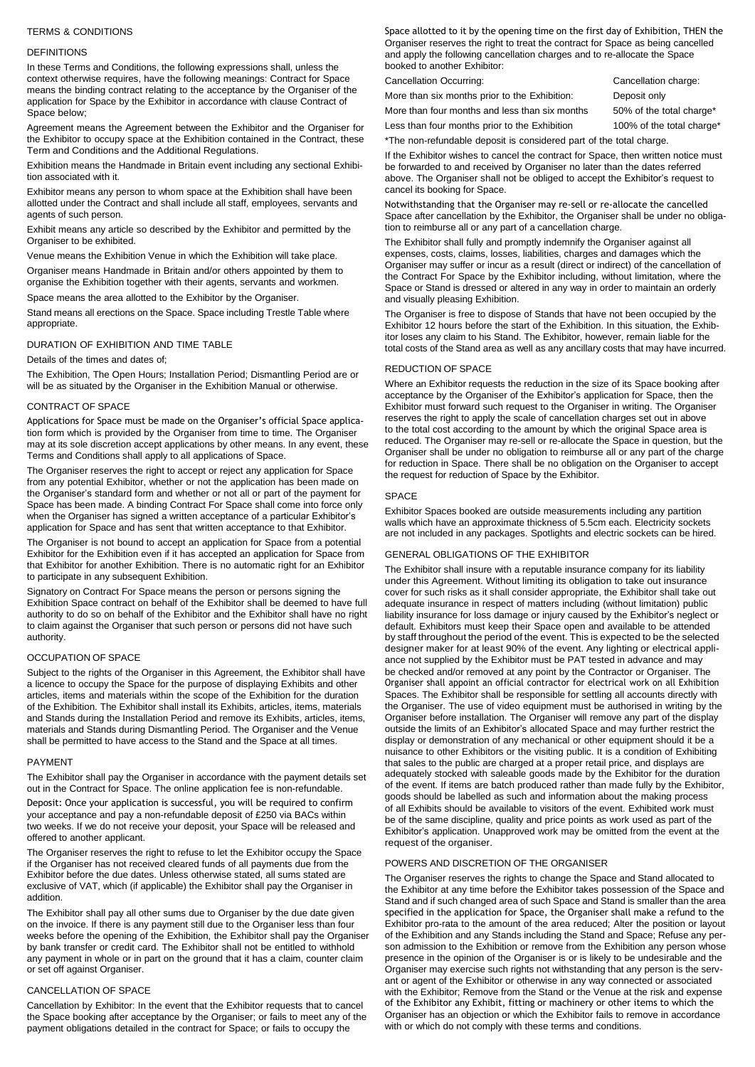# TERMS & CONDITIONS

# DEFINITIONS

In these Terms and Conditions, the following expressions shall, unless the context otherwise requires, have the following meanings: Contract for Space means the binding contract relating to the acceptance by the Organiser of the application for Space by the Exhibitor in accordance with clause Contract of Space below;

Agreement means the Agreement between the Exhibitor and the Organiser for the Exhibitor to occupy space at the Exhibition contained in the Contract, these Term and Conditions and the Additional Regulations.

Exhibition means the Handmade in Britain event including any sectional Exhibition associated with it.

Exhibitor means any person to whom space at the Exhibition shall have been allotted under the Contract and shall include all staff, employees, servants and agents of such person.

Exhibit means any article so described by the Exhibitor and permitted by the Organiser to be exhibited.

Venue means the Exhibition Venue in which the Exhibition will take place.

Organiser means Handmade in Britain and/or others appointed by them to organise the Exhibition together with their agents, servants and workmen.

Space means the area allotted to the Exhibitor by the Organiser.

Stand means all erections on the Space. Space including Trestle Table where appropriate.

# DURATION OF EXHIBITION AND TIME TABLE

## Details of the times and dates of;

The Exhibition, The Open Hours; Installation Period; Dismantling Period are or will be as situated by the Organiser in the Exhibition Manual or otherwise.

### CONTRACT OF SPACE

Applications for Space must be made on the Organiser's official Space application form which is provided by the Organiser from time to time. The Organiser may at its sole discretion accept applications by other means. In any event, these Terms and Conditions shall apply to all applications of Space.

The Organiser reserves the right to accept or reject any application for Space from any potential Exhibitor, whether or not the application has been made on the Organiser's standard form and whether or not all or part of the payment for Space has been made. A binding Contract For Space shall come into force only when the Organiser has signed a written acceptance of a particular Exhibitor's application for Space and has sent that written acceptance to that Exhibitor.

The Organiser is not bound to accept an application for Space from a potential Exhibitor for the Exhibition even if it has accepted an application for Space from that Exhibitor for another Exhibition. There is no automatic right for an Exhibitor to participate in any subsequent Exhibition.

Signatory on Contract For Space means the person or persons signing the Exhibition Space contract on behalf of the Exhibitor shall be deemed to have full authority to do so on behalf of the Exhibitor and the Exhibitor shall have no right to claim against the Organiser that such person or persons did not have such authority.

# OCCUPATION OF SPACE

Subject to the rights of the Organiser in this Agreement, the Exhibitor shall have a licence to occupy the Space for the purpose of displaying Exhibits and other articles, items and materials within the scope of the Exhibition for the duration of the Exhibition. The Exhibitor shall install its Exhibits, articles, items, materials and Stands during the Installation Period and remove its Exhibits, articles, items, materials and Stands during Dismantling Period. The Organiser and the Venue shall be permitted to have access to the Stand and the Space at all times.

#### PAYMENT

The Exhibitor shall pay the Organiser in accordance with the payment details set out in the Contract for Space. The online application fee is non-refundable.

Deposit: Once your application is successful, you will be required to confirm your acceptance and pay a non-refundable deposit of £250 via BACs within two weeks. If we do not receive your deposit, your Space will be released and offered to another applicant.

The Organiser reserves the right to refuse to let the Exhibitor occupy the Space if the Organiser has not received cleared funds of all payments due from the Exhibitor before the due dates. Unless otherwise stated, all sums stated are exclusive of VAT, which (if applicable) the Exhibitor shall pay the Organiser in addition.

The Exhibitor shall pay all other sums due to Organiser by the due date given on the invoice. If there is any payment still due to the Organiser less than four weeks before the opening of the Exhibition, the Exhibitor shall pay the Organiser by bank transfer or credit card. The Exhibitor shall not be entitled to withhold any payment in whole or in part on the ground that it has a claim, counter claim or set off against Organiser.

# CANCELLATION OF SPACE

Cancellation by Exhibitor: In the event that the Exhibitor requests that to cancel the Space booking after acceptance by the Organiser; or fails to meet any of the payment obligations detailed in the contract for Space; or fails to occupy the

Space allotted to it by the opening time on the first day of Exhibition, THEN the Organiser reserves the right to treat the contract for Space as being cancelled and apply the following cancellation charges and to re-allocate the Space booked to another Exhibitor:

Cancellation Occurring: Cancellation charge:

More than six months prior to the Exhibition: Deposit only More than four months and less than six months 50% of the total charge\*

Less than four months prior to the Exhibition 100% of the total charge\*

\*The non-refundable deposit is considered part of the total charge.

If the Exhibitor wishes to cancel the contract for Space, then written notice must be forwarded to and received by Organiser no later than the dates referred above. The Organiser shall not be obliged to accept the Exhibitor's request to cancel its booking for Space.

Notwithstanding that the Organiser may re-sell or re-allocate the cancelled Space after cancellation by the Exhibitor, the Organiser shall be under no obligation to reimburse all or any part of a cancellation charge.

The Exhibitor shall fully and promptly indemnify the Organiser against all expenses, costs, claims, losses, liabilities, charges and damages which the Organiser may suffer or incur as a result (direct or indirect) of the cancellation of the Contract For Space by the Exhibitor including, without limitation, where the Space or Stand is dressed or altered in any way in order to maintain an orderly and visually pleasing Exhibition.

The Organiser is free to dispose of Stands that have not been occupied by the Exhibitor 12 hours before the start of the Exhibition. In this situation, the Exhibitor loses any claim to his Stand. The Exhibitor, however, remain liable for the total costs of the Stand area as well as any ancillary costs that may have incurred.

## REDUCTION OF SPACE

Where an Exhibitor requests the reduction in the size of its Space booking after acceptance by the Organiser of the Exhibitor's application for Space, then the Exhibitor must forward such request to the Organiser in writing. The Organiser reserves the right to apply the scale of cancellation charges set out in above to the total cost according to the amount by which the original Space area is reduced. The Organiser may re-sell or re-allocate the Space in question, but the Organiser shall be under no obligation to reimburse all or any part of the charge for reduction in Space. There shall be no obligation on the Organiser to accept the request for reduction of Space by the Exhibitor.

# SPACE

Exhibitor Spaces booked are outside measurements including any partition walls which have an approximate thickness of 5.5cm each. Electricity sockets are not included in any packages. Spotlights and electric sockets can be hired.

# GENERAL OBLIGATIONS OF THE EXHIBITOR

The Exhibitor shall insure with a reputable insurance company for its liability under this Agreement. Without limiting its obligation to take out insurance cover for such risks as it shall consider appropriate, the Exhibitor shall take out adequate insurance in respect of matters including (without limitation) public liability insurance for loss damage or injury caused by the Exhibitor's neglect or default. Exhibitors must keep their Space open and available to be attended by staff throughout the period of the event. This is expected to be the selected designer maker for at least 90% of the event. Any lighting or electrical appliance not supplied by the Exhibitor must be PAT tested in advance and may be checked and/or removed at any point by the Contractor or Organiser. The Organiser shall appoint an official contractor for electrical work on all Exhibition Spaces. The Exhibitor shall be responsible for settling all accounts directly with the Organiser. The use of video equipment must be authorised in writing by the Organiser before installation. The Organiser will remove any part of the display outside the limits of an Exhibitor's allocated Space and may further restrict the display or demonstration of any mechanical or other equipment should it be a nuisance to other Exhibitors or the visiting public. It is a condition of Exhibiting that sales to the public are charged at a proper retail price, and displays are adequately stocked with saleable goods made by the Exhibitor for the duration of the event. If items are batch produced rather than made fully by the Exhibitor, goods should be labelled as such and information about the making process of all Exhibits should be available to visitors of the event. Exhibited work must be of the same discipline, quality and price points as work used as part of the Exhibitor's application. Unapproved work may be omitted from the event at the request of the organiser.

# POWERS AND DISCRETION OF THE ORGANISER

The Organiser reserves the rights to change the Space and Stand allocated to the Exhibitor at any time before the Exhibitor takes possession of the Space and Stand and if such changed area of such Space and Stand is smaller than the area specified in the application for Space, the Organiser shall make a refund to the Exhibitor pro-rata to the amount of the area reduced; Alter the position or layout of the Exhibition and any Stands including the Stand and Space; Refuse any person admission to the Exhibition or remove from the Exhibition any person whose presence in the opinion of the Organiser is or is likely to be undesirable and the Organiser may exercise such rights not withstanding that any person is the servant or agent of the Exhibitor or otherwise in any way connected or associated with the Exhibitor; Remove from the Stand or the Venue at the risk and expense of the Exhibitor any Exhibit, fitting or machinery or other items to which the Organiser has an objection or which the Exhibitor fails to remove in accordance with or which do not comply with these terms and conditions.